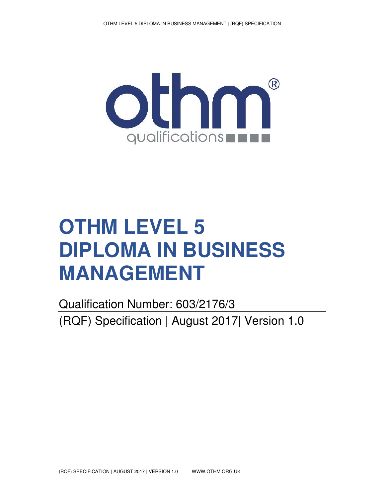

# **OTHM LEVEL 5 DIPLOMA IN BUSINESS MANAGEMENT**

Qualification Number: 603/2176/3 (RQF) Specification | August 2017| Version 1.0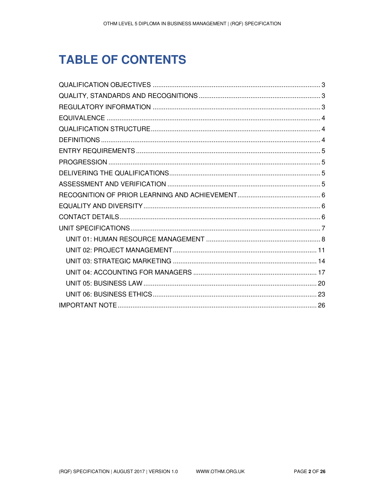# **TABLE OF CONTENTS**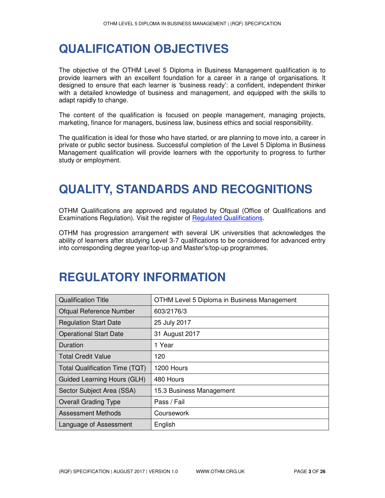# **QUALIFICATION OBJECTIVES**

The objective of the OTHM Level 5 Diploma in Business Management qualification is to provide learners with an excellent foundation for a career in a range of organisations. It designed to ensure that each learner is 'business ready': a confident, independent thinker with a detailed knowledge of business and management, and equipped with the skills to adapt rapidly to change.

The content of the qualification is focused on people management, managing projects, marketing, finance for managers, business law, business ethics and social responsibility.

The qualification is ideal for those who have started, or are planning to move into, a career in private or public sector business. Successful completion of the Level 5 Diploma in Business Management qualification will provide learners with the opportunity to progress to further study or employment.

# **QUALITY, STANDARDS AND RECOGNITIONS**

OTHM Qualifications are approved and regulated by Ofqual (Office of Qualifications and Examinations Regulation). Visit the register of Regulated Qualifications.

OTHM has progression arrangement with several UK universities that acknowledges the ability of learners after studying Level 3-7 qualifications to be considered for advanced entry into corresponding degree year/top-up and Master's/top-up programmes.

### **REGULATORY INFORMATION**

| <b>Qualification Title</b>            | OTHM Level 5 Diploma in Business Management |
|---------------------------------------|---------------------------------------------|
| Ofqual Reference Number               | 603/2176/3                                  |
| <b>Regulation Start Date</b>          | 25 July 2017                                |
| <b>Operational Start Date</b>         | 31 August 2017                              |
| Duration                              | 1 Year                                      |
| <b>Total Credit Value</b>             | 120                                         |
| <b>Total Qualification Time (TQT)</b> | 1200 Hours                                  |
| Guided Learning Hours (GLH)           | 480 Hours                                   |
| Sector Subject Area (SSA)             | 15.3 Business Management                    |
| <b>Overall Grading Type</b>           | Pass / Fail                                 |
| Assessment Methods                    | Coursework                                  |
| Language of Assessment                | English                                     |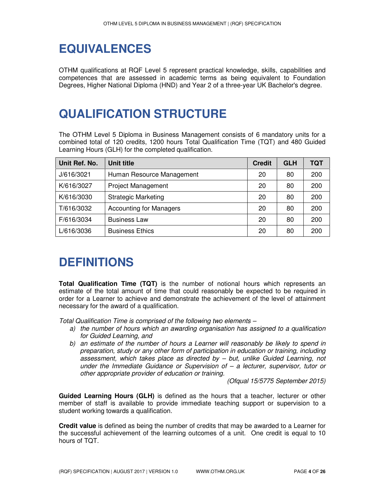# **EQUIVALENCES**

OTHM qualifications at RQF Level 5 represent practical knowledge, skills, capabilities and competences that are assessed in academic terms as being equivalent to Foundation Degrees, Higher National Diploma (HND) and Year 2 of a three-year UK Bachelor's degree.

# **QUALIFICATION STRUCTURE**

The OTHM Level 5 Diploma in Business Management consists of 6 mandatory units for a combined total of 120 credits, 1200 hours Total Qualification Time (TQT) and 480 Guided Learning Hours (GLH) for the completed qualification.

| Unit Ref. No. | Unit title                     | <b>Credit</b> | <b>GLH</b> | TQT |
|---------------|--------------------------------|---------------|------------|-----|
| J/616/3021    | Human Resource Management      | 20            | 80         | 200 |
| K/616/3027    | <b>Project Management</b>      | 20            | 80         | 200 |
| K/616/3030    | <b>Strategic Marketing</b>     | 20            | 80         | 200 |
| T/616/3032    | <b>Accounting for Managers</b> | 20            | 80         | 200 |
| F/616/3034    | <b>Business Law</b>            | 20            | 80         | 200 |
| L/616/3036    | <b>Business Ethics</b>         | 20            | 80         | 200 |

# **DEFINITIONS**

**Total Qualification Time (TQT)** is the number of notional hours which represents an estimate of the total amount of time that could reasonably be expected to be required in order for a Learner to achieve and demonstrate the achievement of the level of attainment necessary for the award of a qualification.

*Total Qualification Time is comprised of the following two elements –* 

- *a) the number of hours which an awarding organisation has assigned to a qualification for Guided Learning, and*
- *b) an estimate of the number of hours a Learner will reasonably be likely to spend in preparation, study or any other form of participation in education or training, including assessment, which takes place as directed by – but, unlike Guided Learning, not under the Immediate Guidance or Supervision of – a lecturer, supervisor, tutor or other appropriate provider of education or training.*

*(Ofqual 15/5775 September 2015)* 

**Guided Learning Hours (GLH)** is defined as the hours that a teacher, lecturer or other member of staff is available to provide immediate teaching support or supervision to a student working towards a qualification.

**Credit value** is defined as being the number of credits that may be awarded to a Learner for the successful achievement of the learning outcomes of a unit. One credit is equal to 10 hours of TQT.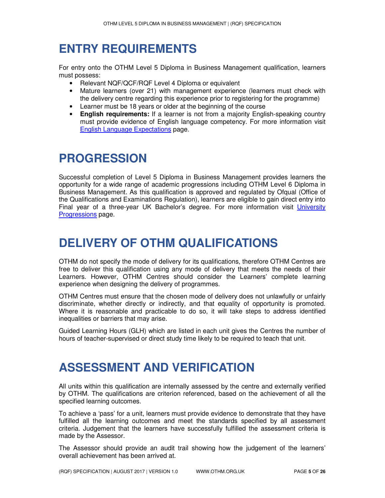# **ENTRY REQUIREMENTS**

For entry onto the OTHM Level 5 Diploma in Business Management qualification, learners must possess:

- Relevant NQF/QCF/RQF Level 4 Diploma or equivalent
- Mature learners (over 21) with management experience (learners must check with the delivery centre regarding this experience prior to registering for the programme)
- Learner must be 18 years or older at the beginning of the course
- **English requirements:** If a learner is not from a majority English-speaking country must provide evidence of English language competency. For more information visit English Language Expectations page.

# **PROGRESSION**

Successful completion of Level 5 Diploma in Business Management provides learners the opportunity for a wide range of academic progressions including OTHM Level 6 Diploma in Business Management. As this qualification is approved and regulated by Ofqual (Office of the Qualifications and Examinations Regulation), learners are eligible to gain direct entry into Final year of a three-year UK Bachelor's degree. For more information visit University **Progressions** page.

# **DELIVERY OF OTHM QUALIFICATIONS**

OTHM do not specify the mode of delivery for its qualifications, therefore OTHM Centres are free to deliver this qualification using any mode of delivery that meets the needs of their Learners. However, OTHM Centres should consider the Learners' complete learning experience when designing the delivery of programmes.

OTHM Centres must ensure that the chosen mode of delivery does not unlawfully or unfairly discriminate, whether directly or indirectly, and that equality of opportunity is promoted. Where it is reasonable and practicable to do so, it will take steps to address identified inequalities or barriers that may arise.

Guided Learning Hours (GLH) which are listed in each unit gives the Centres the number of hours of teacher-supervised or direct study time likely to be required to teach that unit.

# **ASSESSMENT AND VERIFICATION**

All units within this qualification are internally assessed by the centre and externally verified by OTHM. The qualifications are criterion referenced, based on the achievement of all the specified learning outcomes.

To achieve a 'pass' for a unit, learners must provide evidence to demonstrate that they have fulfilled all the learning outcomes and meet the standards specified by all assessment criteria. Judgement that the learners have successfully fulfilled the assessment criteria is made by the Assessor.

The Assessor should provide an audit trail showing how the judgement of the learners' overall achievement has been arrived at.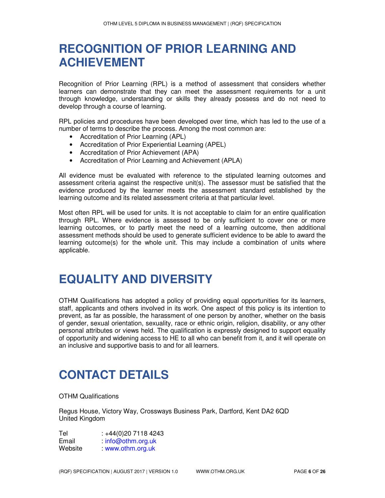# **RECOGNITION OF PRIOR LEARNING AND ACHIEVEMENT**

Recognition of Prior Learning (RPL) is a method of assessment that considers whether learners can demonstrate that they can meet the assessment requirements for a unit through knowledge, understanding or skills they already possess and do not need to develop through a course of learning.

RPL policies and procedures have been developed over time, which has led to the use of a number of terms to describe the process. Among the most common are:

- Accreditation of Prior Learning (APL)
- Accreditation of Prior Experiential Learning (APEL)
- Accreditation of Prior Achievement (APA)
- Accreditation of Prior Learning and Achievement (APLA)

All evidence must be evaluated with reference to the stipulated learning outcomes and assessment criteria against the respective unit(s). The assessor must be satisfied that the evidence produced by the learner meets the assessment standard established by the learning outcome and its related assessment criteria at that particular level.

Most often RPL will be used for units. It is not acceptable to claim for an entire qualification through RPL. Where evidence is assessed to be only sufficient to cover one or more learning outcomes, or to partly meet the need of a learning outcome, then additional assessment methods should be used to generate sufficient evidence to be able to award the learning outcome(s) for the whole unit. This may include a combination of units where applicable.

### **EQUALITY AND DIVERSITY**

OTHM Qualifications has adopted a policy of providing equal opportunities for its learners, staff, applicants and others involved in its work. One aspect of this policy is its intention to prevent, as far as possible, the harassment of one person by another, whether on the basis of gender, sexual orientation, sexuality, race or ethnic origin, religion, disability, or any other personal attributes or views held. The qualification is expressly designed to support equality of opportunity and widening access to HE to all who can benefit from it, and it will operate on an inclusive and supportive basis to and for all learners.

# **CONTACT DETAILS**

OTHM Qualifications

Regus House, Victory Way, Crossways Business Park, Dartford, Kent DA2 6QD United Kingdom

Tel : +44(0)20 7118 4243 Email : info@othm.org.uk Website : www.othm.org.uk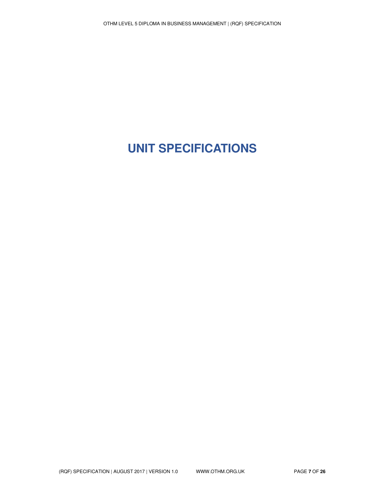# **UNIT SPECIFICATIONS**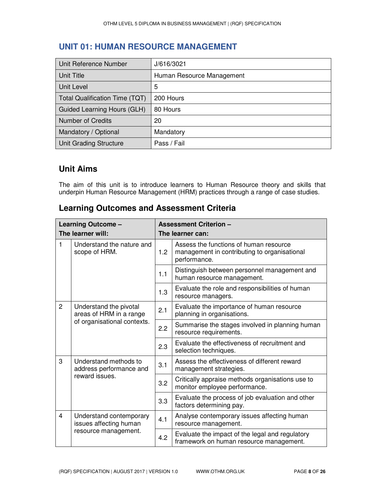### **UNIT 01: HUMAN RESOURCE MANAGEMENT**

| Unit Reference Number          | J/616/3021                |
|--------------------------------|---------------------------|
| <b>Unit Title</b>              | Human Resource Management |
| Unit Level                     | 5                         |
| Total Qualification Time (TQT) | 200 Hours                 |
| Guided Learning Hours (GLH)    | 80 Hours                  |
| Number of Credits              | 20                        |
| Mandatory / Optional           | Mandatory                 |
| Unit Grading Structure         | Pass / Fail               |

### **Unit Aims**

The aim of this unit is to introduce learners to Human Resource theory and skills that underpin Human Resource Management (HRM) practices through a range of case studies.

### **Learning Outcomes and Assessment Criteria**

| Learning Outcome - |                                                                                  | <b>Assessment Criterion -</b> |                                                                                                        |  |  |
|--------------------|----------------------------------------------------------------------------------|-------------------------------|--------------------------------------------------------------------------------------------------------|--|--|
|                    | The learner will:                                                                |                               | The learner can:                                                                                       |  |  |
| 1                  | Understand the nature and<br>scope of HRM.                                       | 1.2                           | Assess the functions of human resource<br>management in contributing to organisational<br>performance. |  |  |
|                    |                                                                                  | 1.1                           | Distinguish between personnel management and<br>human resource management.                             |  |  |
|                    |                                                                                  | 1.3                           | Evaluate the role and responsibilities of human<br>resource managers.                                  |  |  |
| $\overline{2}$     | Understand the pivotal<br>areas of HRM in a range<br>of organisational contexts. | 2.1                           | Evaluate the importance of human resource<br>planning in organisations.                                |  |  |
|                    |                                                                                  | 2.2                           | Summarise the stages involved in planning human<br>resource requirements.                              |  |  |
|                    |                                                                                  | 2.3                           | Evaluate the effectiveness of recruitment and<br>selection techniques.                                 |  |  |
| 3                  | Understand methods to<br>address performance and                                 |                               | Assess the effectiveness of different reward<br>management strategies.                                 |  |  |
|                    | reward issues.                                                                   | 3.2                           | Critically appraise methods organisations use to<br>monitor employee performance.                      |  |  |
|                    |                                                                                  | 3.3                           | Evaluate the process of job evaluation and other<br>factors determining pay.                           |  |  |
| 4                  | Understand contemporary<br>issues affecting human<br>resource management.        | 4.1                           | Analyse contemporary issues affecting human<br>resource management.                                    |  |  |
|                    |                                                                                  | 4.2                           | Evaluate the impact of the legal and regulatory<br>framework on human resource management.             |  |  |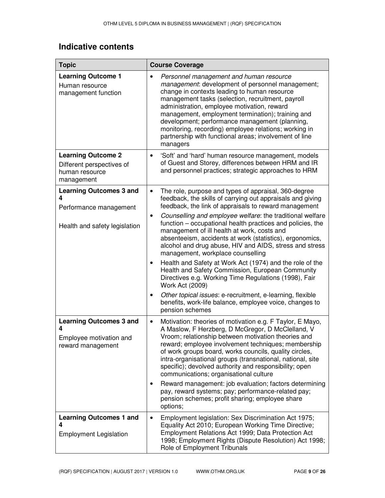| <b>Topic</b>                                                                                   | <b>Course Coverage</b>                                                                                                                                                                                                                                                                                                                                                                                                                                                                                                                                                                                                                                                                                                                                                                                                                                                                               |
|------------------------------------------------------------------------------------------------|------------------------------------------------------------------------------------------------------------------------------------------------------------------------------------------------------------------------------------------------------------------------------------------------------------------------------------------------------------------------------------------------------------------------------------------------------------------------------------------------------------------------------------------------------------------------------------------------------------------------------------------------------------------------------------------------------------------------------------------------------------------------------------------------------------------------------------------------------------------------------------------------------|
| <b>Learning Outcome 1</b><br>Human resource<br>management function                             | Personnel management and human resource<br>$\bullet$<br>management: development of personnel management;<br>change in contexts leading to human resource<br>management tasks (selection, recruitment, payroll<br>administration, employee motivation, reward<br>management, employment termination); training and<br>development; performance management (planning,<br>monitoring, recording) employee relations; working in<br>partnership with functional areas; involvement of line<br>managers                                                                                                                                                                                                                                                                                                                                                                                                   |
| <b>Learning Outcome 2</b><br>Different perspectives of<br>human resource<br>management         | 'Soft' and 'hard' human resource management, models<br>$\bullet$<br>of Guest and Storey, differences between HRM and IR<br>and personnel practices; strategic approaches to HRM                                                                                                                                                                                                                                                                                                                                                                                                                                                                                                                                                                                                                                                                                                                      |
| <b>Learning Outcomes 3 and</b><br>4<br>Performance management<br>Health and safety legislation | The role, purpose and types of appraisal, 360-degree<br>$\bullet$<br>feedback, the skills of carrying out appraisals and giving<br>feedback, the link of appraisals to reward management<br>Counselling and employee welfare: the traditional welfare<br>$\bullet$<br>function – occupational health practices and policies, the<br>management of ill health at work, costs and<br>absenteeism, accidents at work (statistics), ergonomics,<br>alcohol and drug abuse, HIV and AIDS, stress and stress<br>management, workplace counselling<br>Health and Safety at Work Act (1974) and the role of the<br>٠<br>Health and Safety Commission, European Community<br>Directives e.g. Working Time Regulations (1998), Fair<br>Work Act (2009)<br>Other topical issues: e-recruitment, e-learning, flexible<br>$\bullet$<br>benefits, work-life balance, employee voice, changes to<br>pension schemes |
| <b>Learning Outcomes 3 and</b><br>4<br>Employee motivation and<br>reward management            | Motivation: theories of motivation e.g. F Taylor, E Mayo,<br>$\bullet$<br>A Maslow, F Herzberg, D McGregor, D McClelland, V<br>Vroom; relationship between motivation theories and<br>reward; employee involvement techniques; membership<br>of work groups board, works councils, quality circles,<br>intra-organisational groups (transnational, national, site<br>specific); devolved authority and responsibility; open<br>communications; organisational culture<br>Reward management: job evaluation; factors determining<br>٠<br>pay, reward systems; pay; performance-related pay;<br>pension schemes; profit sharing; employee share<br>options;                                                                                                                                                                                                                                            |
| <b>Learning Outcomes 1 and</b><br>4<br><b>Employment Legislation</b>                           | Employment legislation: Sex Discrimination Act 1975;<br>$\bullet$<br>Equality Act 2010; European Working Time Directive;<br>Employment Relations Act 1999; Data Protection Act<br>1998; Employment Rights (Dispute Resolution) Act 1998;<br>Role of Employment Tribunals                                                                                                                                                                                                                                                                                                                                                                                                                                                                                                                                                                                                                             |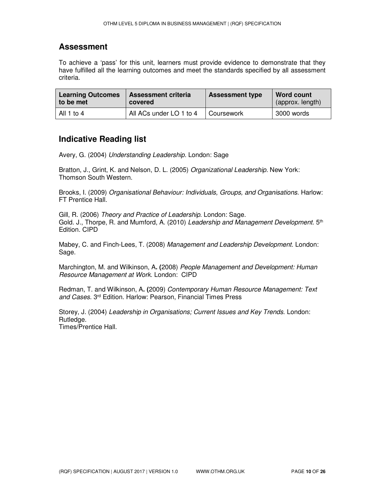#### **Assessment**

To achieve a 'pass' for this unit, learners must provide evidence to demonstrate that they have fulfilled all the learning outcomes and meet the standards specified by all assessment criteria.

| <b>Learning Outcomes</b> | <b>Assessment criteria</b> | <b>Assessment type</b> | <b>Word count</b> |
|--------------------------|----------------------------|------------------------|-------------------|
| to be met                | covered                    |                        | (approx. length)  |
| All 1 to 4               | All ACs under LO 1 to 4    | Coursework             | 3000 words        |

#### **Indicative Reading list**

Avery, G. (2004) *Understanding Leadership.* London: Sage

Bratton, J., Grint, K. and Nelson, D. L. (2005) *Organizational Leadership.* New York: Thomson South Western.

Brooks, I. (2009) *Organisational Behaviour: Individuals, Groups, and Organisations.* Harlow: FT Prentice Hall.

Gill, R. (2006) *Theory and Practice of Leadership.* London: Sage. Gold. J., Thorpe, R. and Mumford, A. (2010) *Leadership and Management Development.* 5<sup>th</sup> Edition. CIPD

Mabey, C. and Finch-Lees, T. (2008) *Management and Leadership Development.* London: Sage.

Marchington, M. and Wilkinson, A**. (**2008) *People Management and Development: Human Resource Management at Work.* London: CIPD

Redman, T. and Wilkinson, A**. (**2009) *Contemporary Human Resource Management: Text and Cases*. 3rd Edition. Harlow: Pearson, Financial Times Press

Storey, J. (2004) *Leadership in Organisations; Current Issues and Key Trends*. London: Rutledge. Times/Prentice Hall.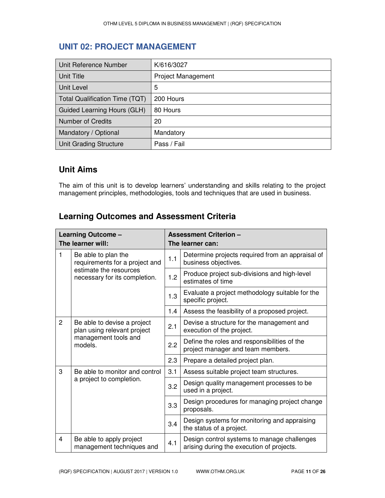### **UNIT 02: PROJECT MANAGEMENT**

| Unit Reference Number              | K/616/3027         |
|------------------------------------|--------------------|
| <b>Unit Title</b>                  | Project Management |
| Unit Level                         | 5                  |
| Total Qualification Time (TQT)     | 200 Hours          |
| <b>Guided Learning Hours (GLH)</b> | 80 Hours           |
| Number of Credits                  | 20                 |
| Mandatory / Optional               | Mandatory          |
| Unit Grading Structure             | Pass / Fail        |

#### **Unit Aims**

The aim of this unit is to develop learners' understanding and skills relating to the project management principles, methodologies, tools and techniques that are used in business.

### **Learning Outcomes and Assessment Criteria**

| Learning Outcome -                  |                                                                                                                  | <b>Assessment Criterion -</b> |                                                                                          |  |
|-------------------------------------|------------------------------------------------------------------------------------------------------------------|-------------------------------|------------------------------------------------------------------------------------------|--|
| The learner will:                   |                                                                                                                  | The learner can:              |                                                                                          |  |
| 1                                   | Be able to plan the<br>requirements for a project and<br>estimate the resources<br>necessary for its completion. | 1.1                           | Determine projects required from an appraisal of<br>business objectives.                 |  |
|                                     |                                                                                                                  | 1.2                           | Produce project sub-divisions and high-level<br>estimates of time                        |  |
|                                     |                                                                                                                  | 1.3                           | Evaluate a project methodology suitable for the<br>specific project.                     |  |
|                                     |                                                                                                                  | 1.4                           | Assess the feasibility of a proposed project.                                            |  |
| $\overline{2}$                      | Be able to devise a project<br>plan using relevant project<br>management tools and<br>models.                    | 2.1                           | Devise a structure for the management and<br>execution of the project.                   |  |
|                                     |                                                                                                                  | 2.2                           | Define the roles and responsibilities of the<br>project manager and team members.        |  |
|                                     |                                                                                                                  | 2.3                           | Prepare a detailed project plan.                                                         |  |
| 3<br>Be able to monitor and control |                                                                                                                  | 3.1                           | Assess suitable project team structures.                                                 |  |
|                                     | a project to completion.                                                                                         | 3.2                           | Design quality management processes to be<br>used in a project.                          |  |
|                                     |                                                                                                                  | 3.3                           | Design procedures for managing project change<br>proposals.                              |  |
|                                     |                                                                                                                  | 3.4                           | Design systems for monitoring and appraising<br>the status of a project.                 |  |
| 4                                   | Be able to apply project<br>management techniques and                                                            | 4.1                           | Design control systems to manage challenges<br>arising during the execution of projects. |  |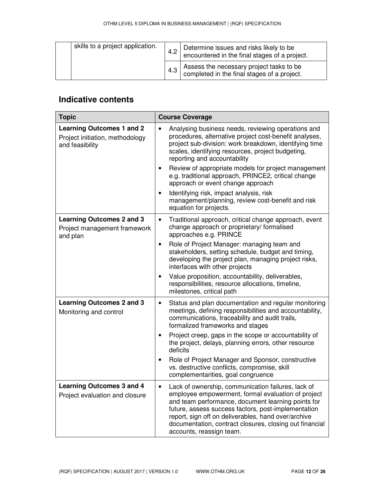| skills to a project application. |  | 4.2 | Determine issues and risks likely to be<br>encountered in the final stages of a project. |
|----------------------------------|--|-----|------------------------------------------------------------------------------------------|
|                                  |  | 4.3 | Assess the necessary project tasks to be<br>completed in the final stages of a project.  |

| <b>Topic</b>                                                                           | <b>Course Coverage</b>                                                                                                                                                                                                                                                                                                                                                           |  |  |
|----------------------------------------------------------------------------------------|----------------------------------------------------------------------------------------------------------------------------------------------------------------------------------------------------------------------------------------------------------------------------------------------------------------------------------------------------------------------------------|--|--|
| <b>Learning Outcomes 1 and 2</b><br>Project initiation, methodology<br>and feasibility | Analysing business needs, reviewing operations and<br>$\bullet$<br>procedures, alternative project cost-benefit analyses,<br>project sub-division: work breakdown, identifying time<br>scales, identifying resources, project budgeting,<br>reporting and accountability                                                                                                         |  |  |
|                                                                                        | Review of appropriate models for project management<br>$\bullet$<br>e.g. traditional approach, PRINCE2, critical change<br>approach or event change approach                                                                                                                                                                                                                     |  |  |
|                                                                                        | Identifying risk, impact analysis, risk<br>$\bullet$<br>management/planning, review cost-benefit and risk<br>equation for projects.                                                                                                                                                                                                                                              |  |  |
| <b>Learning Outcomes 2 and 3</b><br>Project management framework<br>and plan           | Traditional approach, critical change approach, event<br>$\bullet$<br>change approach or proprietary/ formalised<br>approaches e.g. PRINCE                                                                                                                                                                                                                                       |  |  |
|                                                                                        | Role of Project Manager: managing team and<br>$\bullet$<br>stakeholders, setting schedule, budget and timing,<br>developing the project plan, managing project risks,<br>interfaces with other projects                                                                                                                                                                          |  |  |
|                                                                                        | Value proposition, accountability, deliverables,<br>$\bullet$<br>responsibilities, resource allocations, timeline,<br>milestones, critical path                                                                                                                                                                                                                                  |  |  |
| <b>Learning Outcomes 2 and 3</b><br>Monitoring and control                             | Status and plan documentation and regular monitoring<br>$\bullet$<br>meetings, defining responsibilities and accountability,<br>communications, traceability and audit trails,<br>formalized frameworks and stages                                                                                                                                                               |  |  |
|                                                                                        | Project creep, gaps in the scope or accountability of<br>$\bullet$<br>the project, delays, planning errors, other resource<br>deficits                                                                                                                                                                                                                                           |  |  |
|                                                                                        | Role of Project Manager and Sponsor, constructive<br>$\bullet$<br>vs. destructive conflicts, compromise, skill<br>complementarities, goal congruence                                                                                                                                                                                                                             |  |  |
| <b>Learning Outcomes 3 and 4</b><br>Project evaluation and closure                     | Lack of ownership, communication failures, lack of<br>$\bullet$<br>employee empowerment, formal evaluation of project<br>and team performance, document learning points for<br>future, assess success factors, post-implementation<br>report, sign off on deliverables, hand over/archive<br>documentation, contract closures, closing out financial<br>accounts, reassign team. |  |  |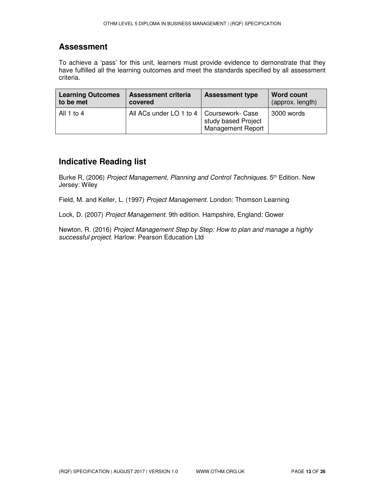#### **Assessment**

To achieve a 'pass' for this unit, learners must provide evidence to demonstrate that they have fulfilled all the learning outcomes and meet the standards specified by all assessment criteria.

| <b>Learning Outcomes</b> | <b>Assessment criteria</b>                 | <b>Assessment type</b>                          | <b>Word count</b> |
|--------------------------|--------------------------------------------|-------------------------------------------------|-------------------|
| to be met                | covered                                    |                                                 | (approx. length)  |
| All 1 to 4               | All ACs under LO 1 to 4   Coursework- Case | study based Project<br><b>Management Report</b> | 3000 words        |

#### **Indicative Reading list**

Burke R, (2006) *Project Management, Planning and Control Techniques*. 5th Edition. New Jersey: Wiley

Field, M. and Keller, L. (1997) *Project Management.* London: Thomson Learning

Lock, D. (2007) *Project Management.* 9th edition. Hampshire, England: Gower

Newton, R. (2016) *Project Management Step by Step: How to plan and manage a highly successful project.* Harlow: Pearson Education Ltd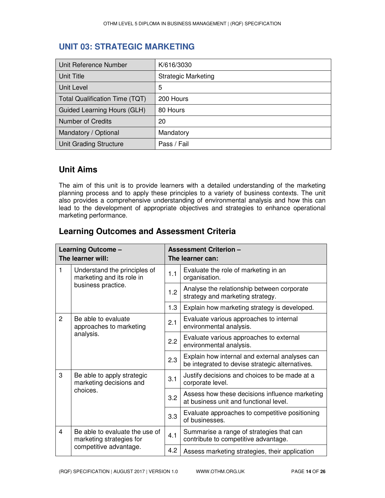### **UNIT 03: STRATEGIC MARKETING**

| Unit Reference Number          | K/616/3030                 |
|--------------------------------|----------------------------|
| <b>Unit Title</b>              | <b>Strategic Marketing</b> |
| <b>Unit Level</b>              | 5                          |
| Total Qualification Time (TQT) | 200 Hours                  |
| Guided Learning Hours (GLH)    | 80 Hours                   |
| Number of Credits              | 20                         |
| Mandatory / Optional           | Mandatory                  |
| Unit Grading Structure         | Pass / Fail                |

#### **Unit Aims**

The aim of this unit is to provide learners with a detailed understanding of the marketing planning process and to apply these principles to a variety of business contexts. The unit also provides a comprehensive understanding of environmental analysis and how this can lead to the development of appropriate objectives and strategies to enhance operational marketing performance.

| Learning Outcome -<br>The learner will: |                                                            |     | <b>Assessment Criterion -</b><br>The learner can:                                                 |
|-----------------------------------------|------------------------------------------------------------|-----|---------------------------------------------------------------------------------------------------|
| 1                                       | Understand the principles of<br>marketing and its role in  | 1.1 | Evaluate the role of marketing in an<br>organisation.                                             |
|                                         | business practice.                                         | 1.2 | Analyse the relationship between corporate<br>strategy and marketing strategy.                    |
|                                         |                                                            | 1.3 | Explain how marketing strategy is developed.                                                      |
| $\overline{2}$                          | Be able to evaluate<br>approaches to marketing             | 2.1 | Evaluate various approaches to internal<br>environmental analysis.                                |
| analysis.                               |                                                            | 2.2 | Evaluate various approaches to external<br>environmental analysis.                                |
|                                         |                                                            | 2.3 | Explain how internal and external analyses can<br>be integrated to devise strategic alternatives. |
| 3                                       | Be able to apply strategic<br>marketing decisions and      |     | Justify decisions and choices to be made at a<br>corporate level.                                 |
|                                         | choices.                                                   | 3.2 | Assess how these decisions influence marketing<br>at business unit and functional level.          |
|                                         |                                                            | 3.3 | Evaluate approaches to competitive positioning<br>of businesses.                                  |
| $\overline{4}$                          | Be able to evaluate the use of<br>marketing strategies for | 4.1 | Summarise a range of strategies that can<br>contribute to competitive advantage.                  |
| competitive advantage.                  |                                                            | 4.2 | Assess marketing strategies, their application                                                    |

#### **Learning Outcomes and Assessment Criteria**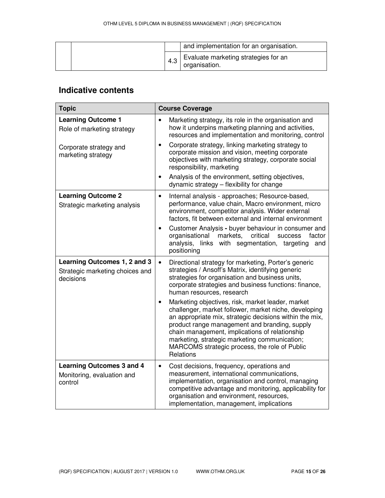|     | and implementation for an organisation.               |
|-----|-------------------------------------------------------|
| 4.3 | Evaluate marketing strategies for an<br>organisation. |

| <b>Topic</b>                                                                 | <b>Course Coverage</b>                                                                                                                                                                                                                                                                                                                                                                               |  |  |
|------------------------------------------------------------------------------|------------------------------------------------------------------------------------------------------------------------------------------------------------------------------------------------------------------------------------------------------------------------------------------------------------------------------------------------------------------------------------------------------|--|--|
| <b>Learning Outcome 1</b><br>Role of marketing strategy                      | Marketing strategy, its role in the organisation and<br>$\bullet$<br>how it underpins marketing planning and activities,<br>resources and implementation and monitoring, control                                                                                                                                                                                                                     |  |  |
| Corporate strategy and<br>marketing strategy                                 | Corporate strategy, linking marketing strategy to<br>$\bullet$<br>corporate mission and vision, meeting corporate<br>objectives with marketing strategy, corporate social<br>responsibility, marketing                                                                                                                                                                                               |  |  |
|                                                                              | Analysis of the environment, setting objectives,<br>$\bullet$<br>dynamic strategy - flexibility for change                                                                                                                                                                                                                                                                                           |  |  |
| <b>Learning Outcome 2</b><br>Strategic marketing analysis                    | Internal analysis - approaches; Resource-based,<br>$\bullet$<br>performance, value chain, Macro environment, micro<br>environment, competitor analysis. Wider external<br>factors, fit between external and internal environment                                                                                                                                                                     |  |  |
|                                                                              | Customer Analysis - buyer behaviour in consumer and<br>$\bullet$<br>organisational<br>markets,<br>critical<br>factor<br>success<br>analysis, links with segmentation, targeting<br>and<br>positioning                                                                                                                                                                                                |  |  |
| Learning Outcomes 1, 2 and 3<br>Strategic marketing choices and<br>decisions | Directional strategy for marketing, Porter's generic<br>$\bullet$<br>strategies / Ansoff's Matrix, identifying generic<br>strategies for organisation and business units,<br>corporate strategies and business functions: finance,<br>human resources, research                                                                                                                                      |  |  |
|                                                                              | Marketing objectives, risk, market leader, market<br>$\bullet$<br>challenger, market follower, market niche, developing<br>an appropriate mix, strategic decisions within the mix,<br>product range management and branding, supply<br>chain management, implications of relationship<br>marketing, strategic marketing communication;<br>MARCOMS strategic process, the role of Public<br>Relations |  |  |
| <b>Learning Outcomes 3 and 4</b><br>Monitoring, evaluation and<br>control    | Cost decisions, frequency, operations and<br>$\bullet$<br>measurement, international communications,<br>implementation, organisation and control, managing<br>competitive advantage and monitoring, applicability for<br>organisation and environment, resources,<br>implementation, management, implications                                                                                        |  |  |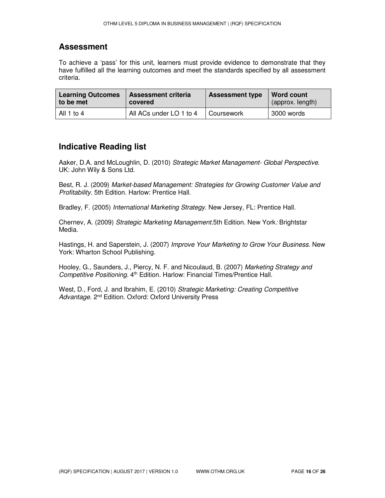#### **Assessment**

To achieve a 'pass' for this unit, learners must provide evidence to demonstrate that they have fulfilled all the learning outcomes and meet the standards specified by all assessment criteria.

| <b>Learning Outcomes</b> | <b>Assessment criteria</b> | <b>Assessment type</b> | Word count       |
|--------------------------|----------------------------|------------------------|------------------|
| to be met                | covered                    |                        | (approx. length) |
| All 1 to 4               | All ACs under LO 1 to 4    | Coursework             | 3000 words       |

#### **Indicative Reading list**

Aaker, D.A. and McLoughlin, D. (2010) *Strategic Market Management- Global Perspective*. UK: John Wily & Sons Ltd.

Best, R. J. (2009) *Market-based Management: Strategies for Growing Customer Value and Profitability.* 5th Edition*.* Harlow: Prentice Hall.

Bradley, F. (2005) *International Marketing Strategy.* New Jersey, FL: Prentice Hall.

Chernev, A. (2009) *Strategic Marketing Management.*5th Edition. New York*:* Brightstar Media.

Hastings, H. and Saperstein, J. (2007) *Improve Your Marketing to Grow Your Business.* New York: Wharton School Publishing.

Hooley, G., Saunders, J., Piercy, N. F. and Nicoulaud, B. (2007) *Marketing Strategy and*  Competitive Positioning. 4<sup>th</sup> Edition. Harlow: Financial Times/Prentice Hall.

West, D., Ford, J. and Ibrahim, E. (2010) *Strategic Marketing: Creating Competitive*  Advantage. 2<sup>nd</sup> Edition. Oxford: Oxford University Press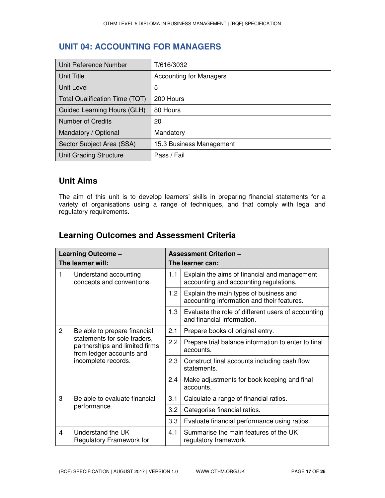### **UNIT 04: ACCOUNTING FOR MANAGERS**

| Unit Reference Number                 | T/616/3032                     |
|---------------------------------------|--------------------------------|
| Unit Title                            | <b>Accounting for Managers</b> |
| Unit Level                            | 5                              |
| <b>Total Qualification Time (TQT)</b> | 200 Hours                      |
| Guided Learning Hours (GLH)           | 80 Hours                       |
| <b>Number of Credits</b>              | 20                             |
| Mandatory / Optional                  | Mandatory                      |
| Sector Subject Area (SSA)             | 15.3 Business Management       |
| Unit Grading Structure                | Pass / Fail                    |

### **Unit Aims**

The aim of this unit is to develop learners' skills in preparing financial statements for a variety of organisations using a range of techniques, and that comply with legal and regulatory requirements.

# **Learning Outcomes and Assessment Criteria**

| Learning Outcome - |                                                                                                                                                   |                                                          | <b>Assessment Criterion -</b>                                                          |  |  |
|--------------------|---------------------------------------------------------------------------------------------------------------------------------------------------|----------------------------------------------------------|----------------------------------------------------------------------------------------|--|--|
| The learner will:  |                                                                                                                                                   | The learner can:                                         |                                                                                        |  |  |
| 1                  | Understand accounting<br>concepts and conventions.                                                                                                | 1.1                                                      | Explain the aims of financial and management<br>accounting and accounting regulations. |  |  |
|                    |                                                                                                                                                   | 1.2                                                      | Explain the main types of business and<br>accounting information and their features.   |  |  |
|                    |                                                                                                                                                   | 1.3                                                      | Evaluate the role of different users of accounting<br>and financial information.       |  |  |
| $\overline{2}$     | Be able to prepare financial<br>statements for sole traders,<br>partnerships and limited firms<br>from ledger accounts and<br>incomplete records. | 2.1                                                      | Prepare books of original entry.                                                       |  |  |
|                    |                                                                                                                                                   | 2.2                                                      | Prepare trial balance information to enter to final<br>accounts.                       |  |  |
|                    |                                                                                                                                                   | 2.3                                                      | Construct final accounts including cash flow<br>statements.                            |  |  |
|                    | 2.4                                                                                                                                               | Make adjustments for book keeping and final<br>accounts. |                                                                                        |  |  |
| 3                  | Be able to evaluate financial<br>performance.                                                                                                     | 3.1                                                      | Calculate a range of financial ratios.                                                 |  |  |
|                    |                                                                                                                                                   | 3.2                                                      | Categorise financial ratios.                                                           |  |  |
|                    |                                                                                                                                                   | 3.3                                                      | Evaluate financial performance using ratios.                                           |  |  |
| $\overline{4}$     | Understand the UK<br><b>Regulatory Framework for</b>                                                                                              | 4.1                                                      | Summarise the main features of the UK<br>regulatory framework.                         |  |  |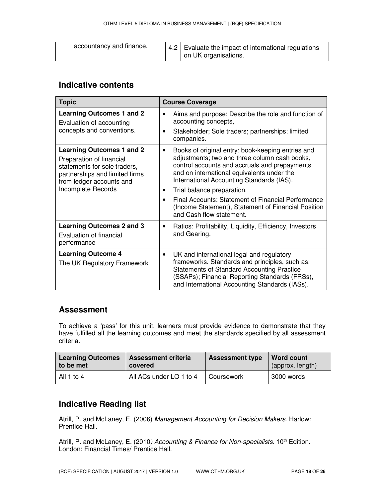| accountancy and finance. |  | 4.2 Evaluate the impact of international regulations<br>on UK organisations. |
|--------------------------|--|------------------------------------------------------------------------------|
|--------------------------|--|------------------------------------------------------------------------------|

| <b>Topic</b>                                                                                                                                                                     | <b>Course Coverage</b>                                                                                                                                                                                                                                                                                                                                                                                                                               |
|----------------------------------------------------------------------------------------------------------------------------------------------------------------------------------|------------------------------------------------------------------------------------------------------------------------------------------------------------------------------------------------------------------------------------------------------------------------------------------------------------------------------------------------------------------------------------------------------------------------------------------------------|
| <b>Learning Outcomes 1 and 2</b><br>Evaluation of accounting<br>concepts and conventions.                                                                                        | Aims and purpose: Describe the role and function of<br>٠<br>accounting concepts,<br>Stakeholder; Sole traders; partnerships; limited<br>$\bullet$<br>companies.                                                                                                                                                                                                                                                                                      |
| <b>Learning Outcomes 1 and 2</b><br>Preparation of financial<br>statements for sole traders,<br>partnerships and limited firms<br>from ledger accounts and<br>Incomplete Records | Books of original entry: book-keeping entries and<br>$\bullet$<br>adjustments; two and three column cash books,<br>control accounts and accruals and prepayments<br>and on international equivalents under the<br>International Accounting Standards (IAS).<br>Trial balance preparation.<br>٠<br>Final Accounts: Statement of Financial Performance<br>$\bullet$<br>(Income Statement), Statement of Financial Position<br>and Cash flow statement. |
| <b>Learning Outcomes 2 and 3</b><br>Evaluation of financial<br>performance                                                                                                       | Ratios: Profitability, Liquidity, Efficiency, Investors<br>٠<br>and Gearing.                                                                                                                                                                                                                                                                                                                                                                         |
| <b>Learning Outcome 4</b><br>The UK Regulatory Framework                                                                                                                         | UK and international legal and regulatory<br>$\bullet$<br>frameworks. Standards and principles, such as:<br><b>Statements of Standard Accounting Practice</b><br>(SSAPs); Financial Reporting Standards (FRSs),<br>and International Accounting Standards (IASs).                                                                                                                                                                                    |

#### **Assessment**

To achieve a 'pass' for this unit, learners must provide evidence to demonstrate that they have fulfilled all the learning outcomes and meet the standards specified by all assessment criteria.

| <b>Learning Outcomes</b> | <b>Assessment criteria</b> | <b>Assessment type</b> | <b>Word count</b> |
|--------------------------|----------------------------|------------------------|-------------------|
| ∣ to be met              | covered                    |                        | (approx. length)  |
| All 1 to 4               | All ACs under LO 1 to 4    | I Coursework           | 3000 words        |

### **Indicative Reading list**

Atrill, P. and McLaney, E. (2006) *Management Accounting for Decision Makers*. Harlow: Prentice Hall.

Atrill, P. and McLaney, E. (2010*) Accounting & Finance for Non-specialists*. 10<sup>th</sup> Edition. London: Financial Times/ Prentice Hall.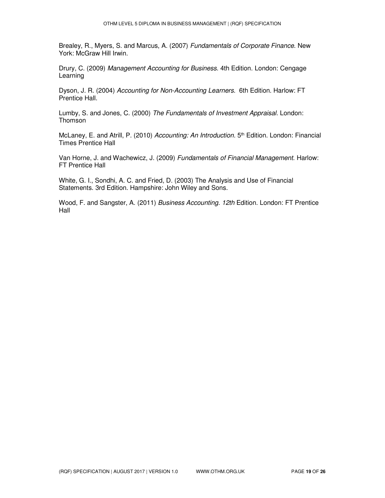Brealey, R., Myers, S. and Marcus, A. (2007) *Fundamentals of Corporate Finance*. New York: McGraw Hill Irwin.

Drury, C. (2009) *Management Accounting for Business*. 4th Edition. London: Cengage Learning

Dyson, J. R. (2004) *Accounting for Non-Accounting Learners*. 6th Edition. Harlow: FT Prentice Hall.

Lumby, S. and Jones, C. (2000) *The Fundamentals of Investment Appraisal.* London: Thomson

McLaney, E. and Atrill, P. (2010) *Accounting: An Introduction.* 5<sup>th</sup> Edition. London: Financial Times Prentice Hall

Van Horne, J. and Wachewicz, J. (2009) *Fundamentals of Financial Management*. Harlow: FT Prentice Hall

White, G. I., Sondhi, A. C. and Fried, D. (2003) The Analysis and Use of Financial Statements. 3rd Edition. Hampshire: John Wiley and Sons.

Wood, F. and Sangster, A. (2011) *Business Accounting. 12th* Edition. London: FT Prentice Hall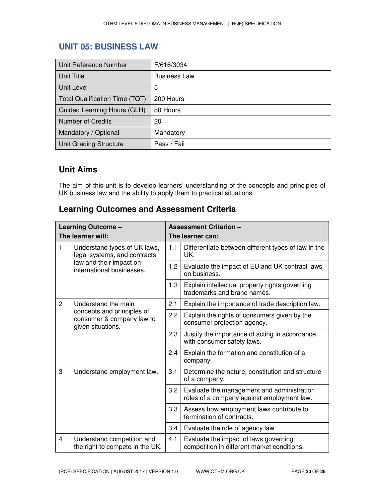### **UNIT 05: BUSINESS LAW**

| Unit Reference Number                 | F/616/3034          |
|---------------------------------------|---------------------|
| Unit Title                            | <b>Business Law</b> |
| Unit Level                            | 5                   |
| <b>Total Qualification Time (TQT)</b> | 200 Hours           |
| Guided Learning Hours (GLH)           | 80 Hours            |
| <b>Number of Credits</b>              | 20                  |
| Mandatory / Optional                  | Mandatory           |
| Unit Grading Structure                | Pass / Fail         |

### **Unit Aims**

The aim of this unit is to develop learners' understanding of the concepts and principles of UK business law and the ability to apply them to practical situations.

### **Learning Outcomes and Assessment Criteria**

| Learning Outcome - |                                                                              |                                                                              | <b>Assessment Criterion -</b>                                                            |  |  |
|--------------------|------------------------------------------------------------------------------|------------------------------------------------------------------------------|------------------------------------------------------------------------------------------|--|--|
|                    | The learner will:                                                            |                                                                              | The learner can:                                                                         |  |  |
| 1                  | Understand types of UK laws,<br>legal systems, and contracts                 | 1.1                                                                          | Differentiate between different types of law in the<br>UK.                               |  |  |
|                    | law and their impact on<br>international businesses.                         | 1.2                                                                          | Evaluate the impact of EU and UK contract laws<br>on business.                           |  |  |
|                    |                                                                              | 1.3                                                                          | Explain intellectual property rights governing<br>trademarks and brand names.            |  |  |
| $\overline{2}$     | Understand the main                                                          | 2.1                                                                          | Explain the importance of trade description law.                                         |  |  |
|                    | concepts and principles of<br>consumer & company law to<br>given situations. | 2.2                                                                          | Explain the rights of consumers given by the<br>consumer protection agency.              |  |  |
|                    | 2.3                                                                          | Justify the importance of acting in accordance<br>with consumer safety laws. |                                                                                          |  |  |
|                    | 2.4                                                                          | Explain the formation and constitution of a<br>company.                      |                                                                                          |  |  |
| 3                  | Understand employment law.                                                   | 3.1                                                                          | Determine the nature, constitution and structure<br>of a company.                        |  |  |
|                    |                                                                              | 3.2                                                                          | Evaluate the management and administration<br>roles of a company against employment law. |  |  |
|                    | 3.3                                                                          | Assess how employment laws contribute to<br>termination of contracts.        |                                                                                          |  |  |
|                    |                                                                              | 3.4                                                                          | Evaluate the role of agency law.                                                         |  |  |
| $\overline{4}$     | Understand competition and<br>the right to compete in the UK.                | 4.1                                                                          | Evaluate the impact of laws governing<br>competition in different market conditions.     |  |  |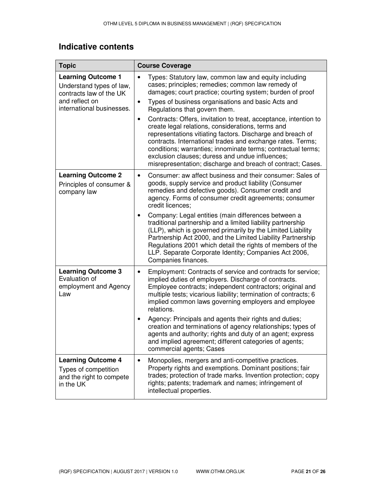| <b>Topic</b>                                                                               | <b>Course Coverage</b>                                                                                                                                                                                                                                                                                                                                                                                                                           |  |  |
|--------------------------------------------------------------------------------------------|--------------------------------------------------------------------------------------------------------------------------------------------------------------------------------------------------------------------------------------------------------------------------------------------------------------------------------------------------------------------------------------------------------------------------------------------------|--|--|
| <b>Learning Outcome 1</b><br>Understand types of law,<br>contracts law of the UK           | Types: Statutory law, common law and equity including<br>$\bullet$<br>cases; principles; remedies; common law remedy of<br>damages; court practice; courting system; burden of proof                                                                                                                                                                                                                                                             |  |  |
| and reflect on<br>international businesses.                                                | Types of business organisations and basic Acts and<br>$\bullet$<br>Regulations that govern them.                                                                                                                                                                                                                                                                                                                                                 |  |  |
|                                                                                            | Contracts: Offers, invitation to treat, acceptance, intention to<br>$\bullet$<br>create legal relations, considerations, terms and<br>representations vitiating factors. Discharge and breach of<br>contracts. International trades and exchange rates. Terms;<br>conditions; warranties; innominate terms; contractual terms;<br>exclusion clauses; duress and undue influences;<br>misrepresentation; discharge and breach of contract; Cases. |  |  |
| <b>Learning Outcome 2</b><br>Principles of consumer &<br>company law                       | Consumer: aw affect business and their consumer: Sales of<br>$\bullet$<br>goods, supply service and product liability (Consumer<br>remedies and defective goods). Consumer credit and<br>agency. Forms of consumer credit agreements; consumer<br>credit licences;                                                                                                                                                                               |  |  |
|                                                                                            | Company: Legal entities (main differences between a<br>$\bullet$<br>traditional partnership and a limited liability partnership<br>(LLP), which is governed primarily by the Limited Liability<br>Partnership Act 2000, and the Limited Liability Partnership<br>Regulations 2001 which detail the rights of members of the<br>LLP. Separate Corporate Identity; Companies Act 2006,<br>Companies finances.                                      |  |  |
| <b>Learning Outcome 3</b><br>Evaluation of<br>employment and Agency<br>Law                 | Employment: Contracts of service and contracts for service;<br>$\bullet$<br>implied duties of employers. Discharge of contracts.<br>Employee contracts; independent contractors; original and<br>multiple tests; vicarious liability; termination of contracts; 6<br>implied common laws governing employers and employee<br>relations.                                                                                                          |  |  |
|                                                                                            | Agency: Principals and agents their rights and duties;<br>٠<br>creation and terminations of agency relationships; types of<br>agents and authority; rights and duty of an agent; express<br>and implied agreement; different categories of agents;<br>commercial agents; Cases                                                                                                                                                                   |  |  |
| <b>Learning Outcome 4</b><br>Types of competition<br>and the right to compete<br>in the UK | Monopolies, mergers and anti-competitive practices.<br>$\bullet$<br>Property rights and exemptions. Dominant positions; fair<br>trades; protection of trade marks. Invention protection; copy<br>rights; patents; trademark and names; infringement of<br>intellectual properties.                                                                                                                                                               |  |  |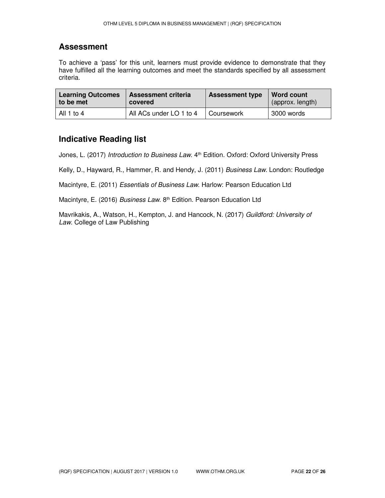#### **Assessment**

To achieve a 'pass' for this unit, learners must provide evidence to demonstrate that they have fulfilled all the learning outcomes and meet the standards specified by all assessment criteria.

| <b>Learning Outcomes</b> | <b>Assessment criteria</b> | <b>Assessment type</b> | Word count       |
|--------------------------|----------------------------|------------------------|------------------|
| to be met                | covered                    |                        | (approx. length) |
| All 1 to 4               | All ACs under LO 1 to 4    | ∣ Coursework           | 3000 words       |

#### **Indicative Reading list**

Jones, L. (2017) *Introduction to Business Law*. 4th Edition. Oxford: Oxford University Press

Kelly, D., Hayward, R., Hammer, R. and Hendy, J. (2011) *Business Law.* London: Routledge

Macintyre, E. (2011) *Essentials of Business Law.* Harlow: Pearson Education Ltd

Macintyre, E. (2016) *Business Law*. 8th Edition. Pearson Education Ltd

Mavrikakis, A., Watson, H., Kempton, J. and Hancock, N. (2017) *Guildford: University of Law.* College of Law Publishing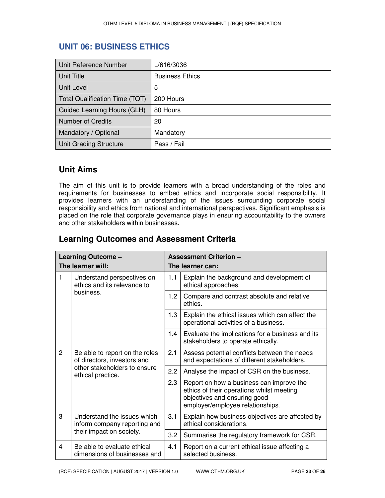### **UNIT 06: BUSINESS ETHICS**

| Unit Reference Number          | L/616/3036             |
|--------------------------------|------------------------|
| Unit Title                     | <b>Business Ethics</b> |
| Unit Level                     | 5                      |
| Total Qualification Time (TQT) | 200 Hours              |
| Guided Learning Hours (GLH)    | 80 Hours               |
| Number of Credits              | 20                     |
| Mandatory / Optional           | Mandatory              |
| Unit Grading Structure         | Pass / Fail            |

### **Unit Aims**

The aim of this unit is to provide learners with a broad understanding of the roles and requirements for businesses to embed ethics and incorporate social responsibility. It provides learners with an understanding of the issues surrounding corporate social responsibility and ethics from national and international perspectives. Significant emphasis is placed on the role that corporate governance plays in ensuring accountability to the owners and other stakeholders within businesses.

| <b>Learning Outcomes and Assessment Criteria</b> |  |
|--------------------------------------------------|--|
|--------------------------------------------------|--|

| Learning Outcome - |                                                                                                                    | <b>Assessment Criterion -</b> |                                                                                                                                                           |  |
|--------------------|--------------------------------------------------------------------------------------------------------------------|-------------------------------|-----------------------------------------------------------------------------------------------------------------------------------------------------------|--|
| The learner will:  |                                                                                                                    | The learner can:              |                                                                                                                                                           |  |
| 1<br>business.     | Understand perspectives on<br>ethics and its relevance to                                                          | 1.1                           | Explain the background and development of<br>ethical approaches.                                                                                          |  |
|                    |                                                                                                                    | 1.2                           | Compare and contrast absolute and relative<br>ethics.                                                                                                     |  |
|                    |                                                                                                                    | 1.3                           | Explain the ethical issues which can affect the<br>operational activities of a business.                                                                  |  |
|                    |                                                                                                                    | 1.4                           | Evaluate the implications for a business and its<br>stakeholders to operate ethically.                                                                    |  |
| $\overline{c}$     | Be able to report on the roles<br>of directors, investors and<br>other stakeholders to ensure<br>ethical practice. | 2.1                           | Assess potential conflicts between the needs<br>and expectations of different stakeholders.                                                               |  |
|                    |                                                                                                                    | 2.2                           | Analyse the impact of CSR on the business.                                                                                                                |  |
|                    |                                                                                                                    | 2.3                           | Report on how a business can improve the<br>ethics of their operations whilst meeting<br>objectives and ensuring good<br>employer/employee relationships. |  |
| 3                  | Understand the issues which<br>inform company reporting and                                                        |                               | Explain how business objectives are affected by<br>ethical considerations.                                                                                |  |
|                    | their impact on society.                                                                                           | 3.2                           | Summarise the regulatory framework for CSR.                                                                                                               |  |
| 4                  | Be able to evaluate ethical<br>dimensions of businesses and                                                        | 4.1                           | Report on a current ethical issue affecting a<br>selected business.                                                                                       |  |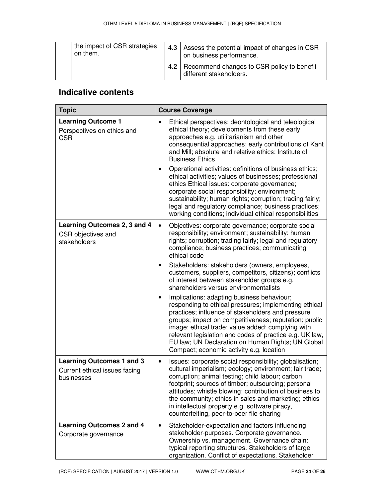| the impact of CSR strategies<br>on them. |                                                                             | 4.3 Assess the potential impact of changes in CSR<br>on business performance. |
|------------------------------------------|-----------------------------------------------------------------------------|-------------------------------------------------------------------------------|
|                                          | 4.2   Recommend changes to CSR policy to benefit<br>different stakeholders. |                                                                               |

| <b>Topic</b>                                                                    | <b>Course Coverage</b>                                                                                                                                                                                                                                                                                                                                                                                                                                       |  |  |
|---------------------------------------------------------------------------------|--------------------------------------------------------------------------------------------------------------------------------------------------------------------------------------------------------------------------------------------------------------------------------------------------------------------------------------------------------------------------------------------------------------------------------------------------------------|--|--|
| <b>Learning Outcome 1</b><br>Perspectives on ethics and<br><b>CSR</b>           | Ethical perspectives: deontological and teleological<br>$\bullet$<br>ethical theory; developments from these early<br>approaches e.g. utilitarianism and other<br>consequential approaches; early contributions of Kant<br>and Mill; absolute and relative ethics; Institute of<br><b>Business Ethics</b><br>Operational activities: definitions of business ethics;<br>$\bullet$<br>ethical activities; values of businesses; professional                  |  |  |
|                                                                                 | ethics Ethical issues: corporate governance;<br>corporate social responsibility; environment;<br>sustainability; human rights; corruption; trading fairly;<br>legal and regulatory compliance; business practices;<br>working conditions; individual ethical responsibilities                                                                                                                                                                                |  |  |
| Learning Outcomes 2, 3 and 4<br>CSR objectives and<br>stakeholders              | $\bullet$<br>Objectives: corporate governance; corporate social<br>responsibility; environment; sustainability; human<br>rights; corruption; trading fairly; legal and regulatory<br>compliance; business practices; communicating<br>ethical code                                                                                                                                                                                                           |  |  |
|                                                                                 | Stakeholders: stakeholders (owners, employees,<br>$\bullet$<br>customers, suppliers, competitors, citizens); conflicts<br>of interest between stakeholder groups e.g.<br>shareholders versus environmentalists                                                                                                                                                                                                                                               |  |  |
|                                                                                 | Implications: adapting business behaviour;<br>$\bullet$<br>responding to ethical pressures; implementing ethical<br>practices; influence of stakeholders and pressure<br>groups; impact on competitiveness; reputation; public<br>image; ethical trade; value added; complying with<br>relevant legislation and codes of practice e.g. UK law,<br>EU law; UN Declaration on Human Rights; UN Global<br>Compact; economic activity e.g. location              |  |  |
| <b>Learning Outcomes 1 and 3</b><br>Current ethical issues facing<br>businesses | Issues: corporate social responsibility; globalisation;<br>$\bullet$<br>cultural imperialism; ecology; environment; fair trade;<br>corruption; animal testing; child labour; carbon<br>footprint; sources of timber; outsourcing; personal<br>attitudes; whistle blowing; contribution of business to<br>the community; ethics in sales and marketing; ethics<br>in intellectual property e.g. software piracy,<br>counterfeiting, peer-to-peer file sharing |  |  |
| <b>Learning Outcomes 2 and 4</b><br>Corporate governance                        | Stakeholder-expectation and factors influencing<br>$\bullet$<br>stakeholder-purposes. Corporate governance.<br>Ownership vs. management. Governance chain:<br>typical reporting structures. Stakeholders of large<br>organization. Conflict of expectations. Stakeholder                                                                                                                                                                                     |  |  |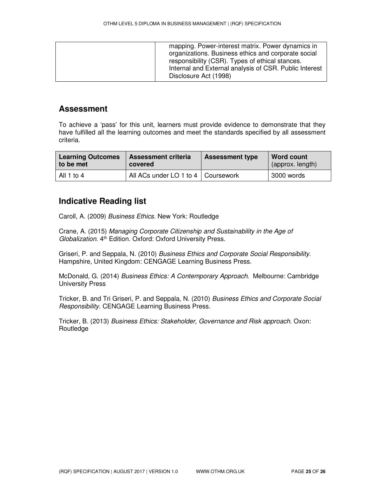| mapping. Power-interest matrix. Power dynamics in      |
|--------------------------------------------------------|
| organizations. Business ethics and corporate social    |
| responsibility (CSR). Types of ethical stances.        |
| Internal and External analysis of CSR. Public Interest |
| Disclosure Act (1998)                                  |
|                                                        |

#### **Assessment**

To achieve a 'pass' for this unit, learners must provide evidence to demonstrate that they have fulfilled all the learning outcomes and meet the standards specified by all assessment criteria.

| <b>Learning Outcomes</b> | <b>Assessment criteria</b>           | <b>Assessment type</b> | Word count       |
|--------------------------|--------------------------------------|------------------------|------------------|
| to be met                | covered                              |                        | (approx. length) |
| All 1 to 4               | All ACs under LO 1 to 4   Coursework |                        | 3000 words       |

#### **Indicative Reading list**

Caroll, A. (2009) *Business Ethics.* New York: Routledge

Crane, A. (2015) *Managing Corporate Citizenship and Sustainability in the Age of Globalization*. 4th Edition. Oxford: Oxford University Press.

Griseri, P. and Seppala, N. (2010) *Business Ethics and Corporate Social Responsibility*. Hampshire, United Kingdom: CENGAGE Learning Business Press.

McDonald, G. (2014) *Business Ethics: A Contemporary Approach*. Melbourne: Cambridge University Press

Tricker, B. and Tri Griseri, P. and Seppala, N. (2010) *Business Ethics and Corporate Social Responsibility*. CENGAGE Learning Business Press.

Tricker, B. (2013) *Business Ethics: Stakeholder, Governance and Risk approach*. Oxon: Routledge